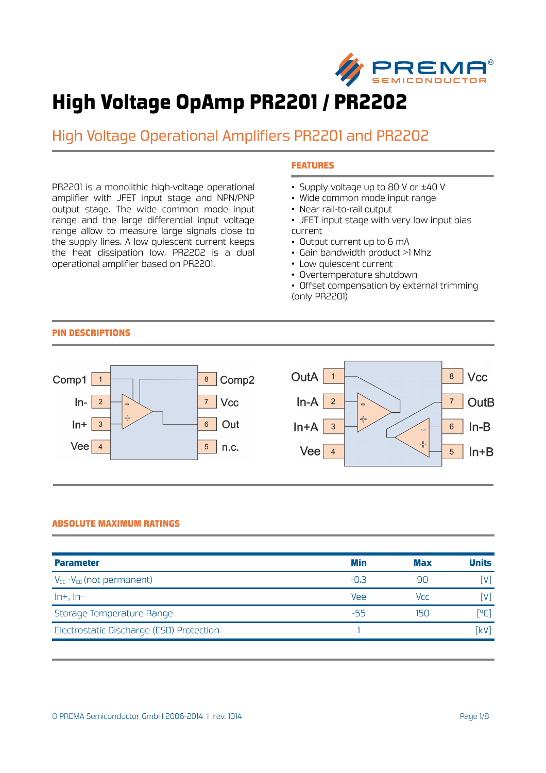

## High Voltage Operational Amplifiers PR2201 and PR2202

PR2201 is a monolithic high-voltage operational amplifier with JFET input stage and NPN/PNP output stage. The wide common mode input range and the large differential input voltage range allow to measure large signals close to the supply lines. A low quiescent current keeps the heat dissipation low. PR2202 is a dual operational amplifier based on PR2201.

#### FEATURES

- Supply voltage up to 80 V or ±40 V
- Wide common mode input range
- Near rail-to-rail output
- JFET input stage with very low input bias current
- Output current up to 6 mA
- Gain bandwidth product >1 Mhz
- Low quiescent current
- Overtemperature shutdown
- Offset compensation by external trimming (only PR2201)

#### PIN DESCRIPTIONS



#### ABSOLUTE MAXIMUM RATINGS

| <b>Parameter</b>                         | Min    | <b>Max</b> | <b>Units</b> |
|------------------------------------------|--------|------------|--------------|
| $V_{CC}$ - $V_{EE}$ (not permanent)      | $-0.3$ | 90         |              |
| $In+$ , $In-$                            | Vee    | Vrr        | V            |
| Storage Temperature Range                | -55    | 15C        | [°C]         |
| Electrostatic Discharge (ESD) Protection |        |            | [kV]         |
|                                          |        |            |              |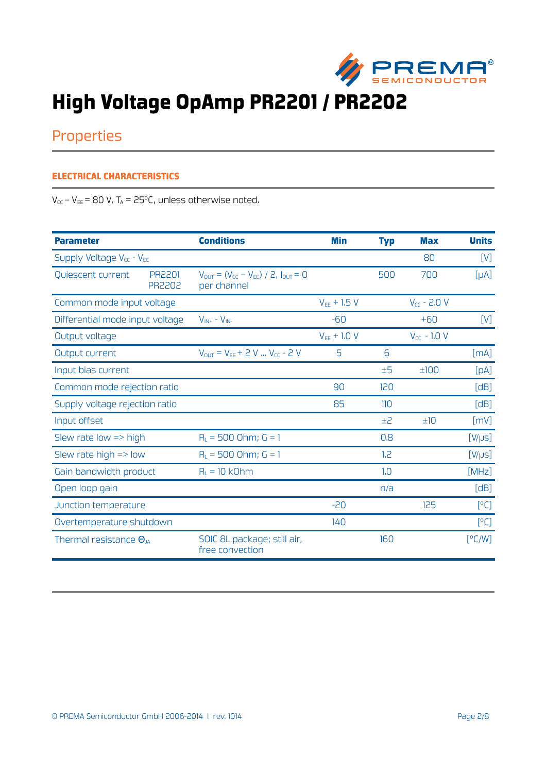

### Properties

#### ELECTRICAL CHARACTERISTICS

 $V_{CC} - V_{EE} = 80$  V, T<sub>A</sub> = 25°C, unless otherwise noted.

| <b>Parameter</b>                                 |                                | <b>Conditions</b>                                                | Min              | <b>Typ</b> | <b>Max</b>       | <b>Units</b>                |
|--------------------------------------------------|--------------------------------|------------------------------------------------------------------|------------------|------------|------------------|-----------------------------|
| Supply Voltage V <sub>cc</sub> - V <sub>EE</sub> |                                |                                                                  |                  | 80         | [V]              |                             |
| Quiescent current                                | <b>PR2201</b><br><b>PR2202</b> | $V_{OUT} = (V_{CC} - V_{EE}) / 2$ , $I_{OUT} = 0$<br>per channel |                  | 500        | 700              | $[\mu A]$                   |
| Common mode input voltage                        |                                |                                                                  | $V_{FF}$ + 1.5 V |            | $V_{CC}$ - 2.0 V |                             |
| Differential mode input voltage                  |                                | $V_{IN+} - V_{IN-}$                                              | $-60$            |            | $+60$            | [V]                         |
| Output voltage                                   |                                |                                                                  | $V_{EE}$ + 1.0 V |            | $V_{CC}$ - 1.0 V |                             |
| Output current                                   |                                | $V_{OUT} = V_{FF} + 2 V$ $V_{CF} - 2 V$                          | 5                | 6          |                  | $\lceil \mathsf{mA} \rceil$ |
| Input bias current                               |                                |                                                                  |                  | ±5         | ±100             | [pA]                        |
| Common mode rejection ratio                      |                                |                                                                  | 90               | 120        |                  | [dB]                        |
| Supply voltage rejection ratio                   |                                |                                                                  | 85               | 110        |                  | [dB]                        |
| Input offset                                     |                                |                                                                  |                  | ±2         | ±10              | $\lceil mV \rceil$          |
| Slew rate low $\Rightarrow$ high                 |                                | $R_L$ = 500 Ohm; $G = 1$                                         |                  | 0.8        |                  | [V/ys]                      |
| Slew rate high $\Rightarrow$ low                 |                                | $R_1 = 500$ Ohm; $G = 1$                                         |                  | 1.2        |                  | [V/ys]                      |
| Gain bandwidth product                           |                                | $R1 = 10$ kOhm                                                   |                  | 1.0        |                  | [MHz]                       |
| Open loop gain                                   |                                |                                                                  |                  | n/a        |                  | [dB]                        |
| Junction temperature                             |                                |                                                                  | $-20$            |            | 125              | [°C]                        |
| Overtemperature shutdown                         |                                |                                                                  | 140              |            |                  | [°C]                        |
| Thermal resistance $\Theta_{\text{IA}}$          |                                | SOIC 8L package; still air,<br>free convection                   |                  | 160        |                  | [°C/W]                      |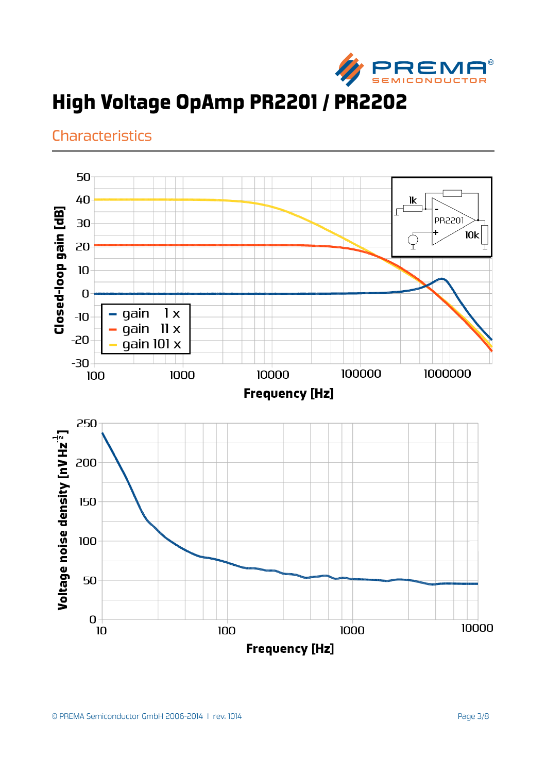

### Characteristics

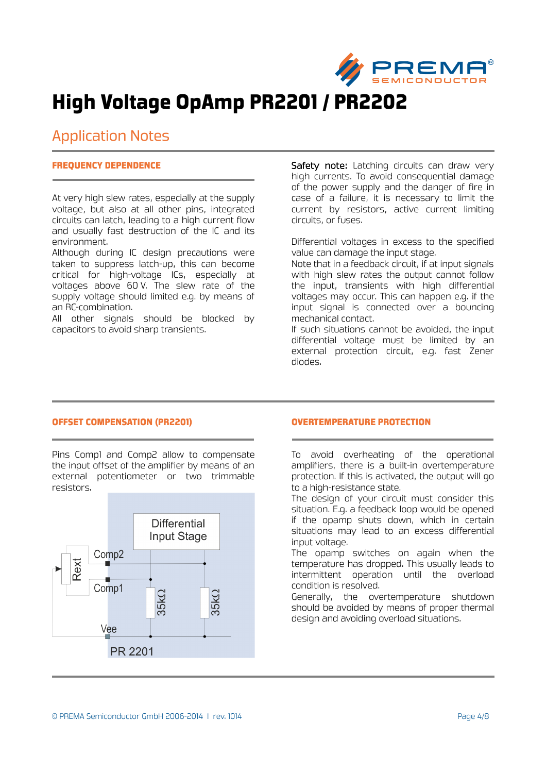

### Application Notes

#### FREQUENCY DEPENDENCE

At very high slew rates, especially at the supply voltage, but also at all other pins, integrated circuits can latch, leading to a high current flow and usually fast destruction of the IC and its environment.

Although during IC design precautions were taken to suppress latch-up, this can become critical for high-voltage ICs, especially at voltages above 60 V. The slew rate of the supply voltage should limited e.g. by means of an RC-combination.

All other signals should be blocked by capacitors to avoid sharp transients.

Safety note: Latching circuits can draw very high currents. To avoid consequential damage of the power supply and the danger of fire in case of a failure, it is necessary to limit the current by resistors, active current limiting circuits, or fuses.

Differential voltages in excess to the specified value can damage the input stage.

Note that in a feedback circuit, if at input signals with high slew rates the output cannot follow the input, transients with high differential voltages may occur. This can happen e.g. if the input signal is connected over a bouncing mechanical contact.

If such situations cannot be avoided, the input differential voltage must be limited by an external protection circuit, e.g. fast Zener diodes.

#### OFFSET COMPENSATION (PR2201)

Pins Comp1 and Comp2 allow to compensate the input offset of the amplifier by means of an external potentiometer or two trimmable resistors.



#### OVERTEMPERATURE PROTECTION

To avoid overheating of the operational amplifiers, there is a built-in overtemperature protection. If this is activated, the output will go to a high-resistance state.

The design of your circuit must consider this situation. E.g. a feedback loop would be opened if the opamp shuts down, which in certain situations may lead to an excess differential input voltage.

The opamp switches on again when the temperature has dropped. This usually leads to intermittent operation until the overload condition is resolved.

Generally, the overtemperature shutdown should be avoided by means of proper thermal design and avoiding overload situations.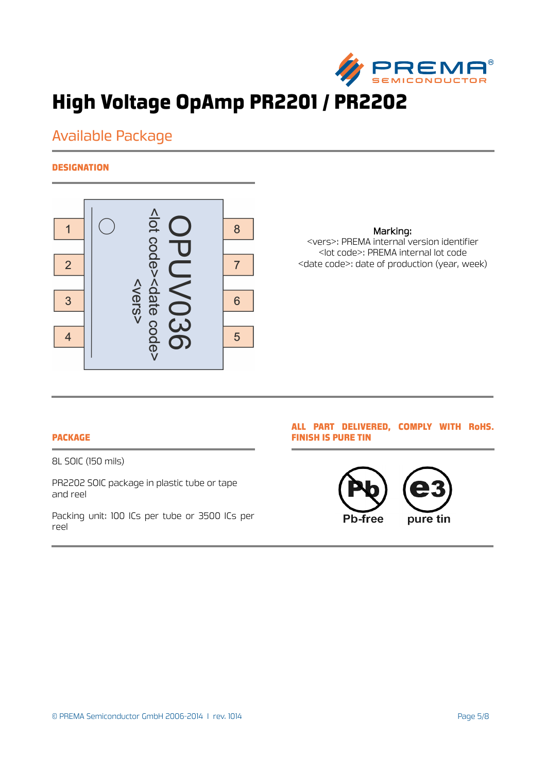

## Available Package

#### **DESIGNATION**



#### Marking:

<vers>: PREMA internal version identifier <lot code>: PREMA internal lot code <date code>: date of production (year, week)

#### PACKAGE

8L SOIC (150 mils)

PR2202 SOIC package in plastic tube or tape and reel

Packing unit: 100 ICs per tube or 3500 ICs per reel

#### ALL PART DELIVERED, COMPLY WITH RoHS. FINISH IS PURE TIN

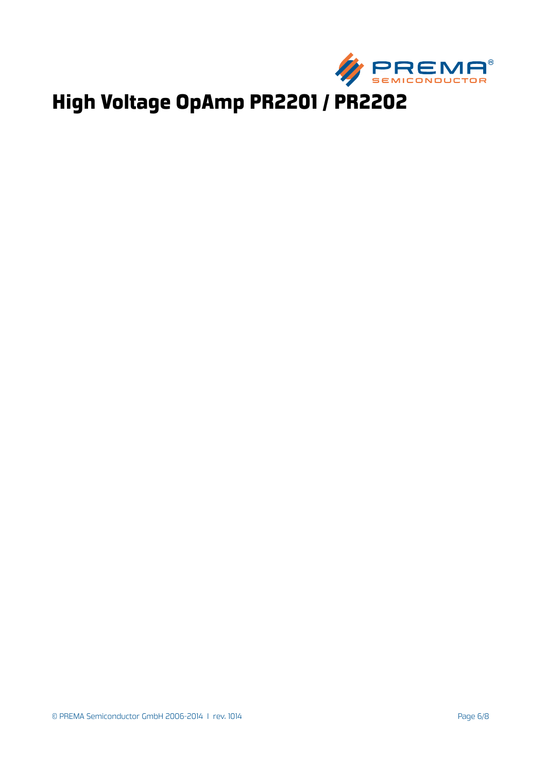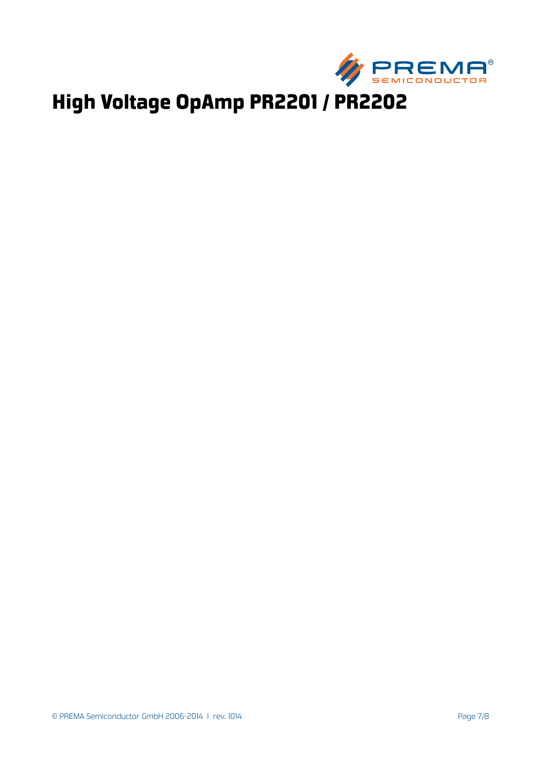